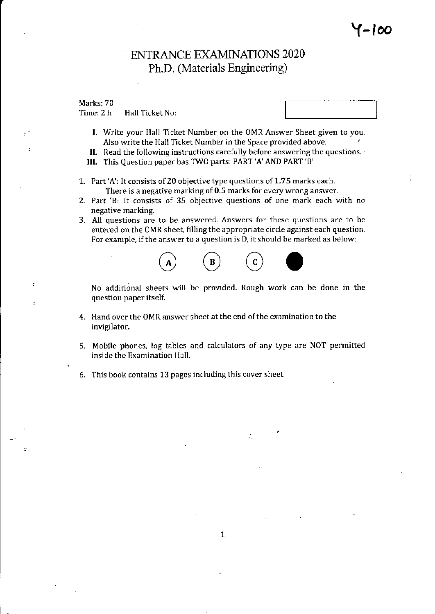### ENTRANCE EXAMINATIONS 2O2O Ph.D. Materials Engineering)

Marks: 70

Þ

Time: 2 h Hall Ticket No:

- 
- I. Write your Hall Ticket Number on the OMR Answer Sheet given to you. Also write the Hall Ticket Number in the Space provided above.
- II. Read the following instructions carefully before answering the questions.
- III. This Question paper has TWO partsi PART 'A' AND PART 'B'
- 1. Part'A': It consists of20 objective type questions of 1.75 marks each. There is a negative marking of 0.5 marks for every wrong answer.
- 2. Part 'B: It consists of 35 objective questions of one mark each with no negative marking.
- 3. All questions are to be answered. Answers for these questions are to bc entered on the OMR sheet, filling the appropriate circle against each question. For example, if the answer to a question is D, it should be marked as below:



No additional sheets will be provided. Rough work can be done in the question paper itself.

- 4. Hand over the OMR answer sheet at the end of the examination to the invigilator.
- 5. Mobile phones, log tables and calculators of any type are NOT permifted inside the Examination Hall.

÷.

6. This book contains 13 pages including this cover sheet.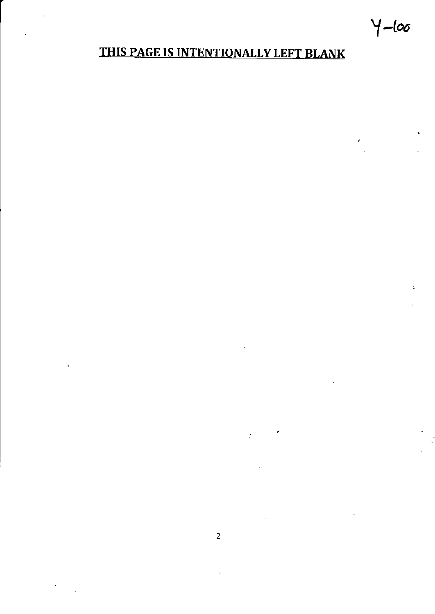# $Y$ -loo

J.

## THIS PAGE IS INTENTIONALLY LEFT BLANK

 $\zeta$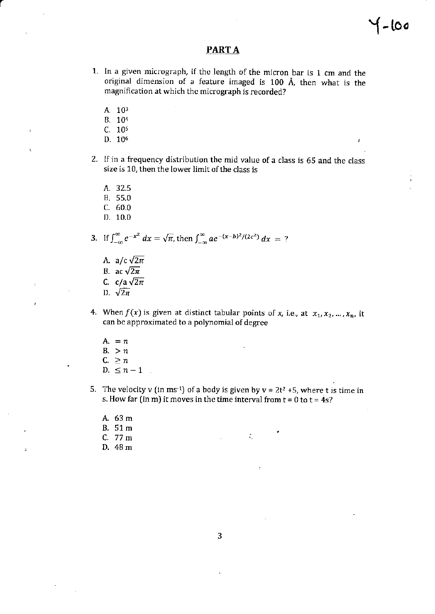## $-100$

J

### **PARTA**

- 1. In a given micrograph, if the length of the micron bar is 1 cm and the original dimension of a feature imaged is 100 Å, then what is the magnification at which the micrograph is recorded?
	- A. 103
	- B. 10<sup>4</sup>
	- $C. 10<sup>5</sup>$
	- D. 10<sup>6</sup>
- 2. If in a frequency distribution the mid value of a class is 65 and the class size is 10, then the lower limit of the class is
	- A. 32.5
	- B. 55.0
	- $C. 60.0$
	- $D. 10.0$

3. If 
$$
\int_{-\infty}^{\infty} e^{-x^2} dx = \sqrt{\pi}
$$
, then  $\int_{-\infty}^{\infty} ae^{-(x-b)^2/(2c^2)} dx = ?$ 

- A. a/c  $\sqrt{2\pi}$ B. ac  $\sqrt{2\pi}$ C.  $c/a\sqrt{2\pi}$
- D.  $\sqrt{2\pi}$
- 4. When  $f(x)$  is given at distinct tabular points of x, i.e., at  $x_1, x_2, ..., x_n$ , it can be approximated to a polynomial of degree
	- A.  $=n$  $B. > n$  $C. \geq n$ D.  $\leq n-1$
- 5. The velocity v (in ms<sup>-1</sup>) of a body is given by  $v = 2t^2 + 5$ , where t is time in s. How far (in m) it moves in the time interval from  $t = 0$  to  $t = 4s$ ?

 $\tilde{\mathcal{A}}_1$ 

A. 63 m B. 51 m C. 77 m D. 48 m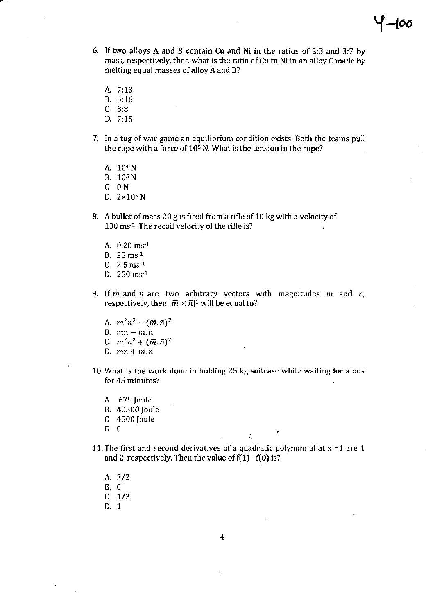- If two alloys A and B contain Cu and Ni in the ratios of 2:3 and 3:7 by mass, respectively, then what is the ratio of Cu to Ni in an alloy C made by melting equal masses of alloy A and B?
	- A. 7:13
	- 8.5:16
	- C.3:B
	- D. 7:15
- 7. ln a tug of war game an equilibrium condition exists. Both the teams pull the rope with a force of  $10<sup>5</sup>$  N. What is the tension in the rope?
	- A. 104 N
	- B. 10s <sup>N</sup>
	- C, ON
	- D. 2x10s N
- B, A bullet ofmass 20 g is fired from a rifle of 10 kg with a velocity of 100 ms<sup>-1</sup>. The recoil velocity of the rifle is?
	- A.  $0.20$  ms<sup>-1</sup>
	- B. 25 ms<sup>-1</sup>
	- $C. 2.5 \text{ ms}^{-1}$
	- D. 250 ms-1
- 9. If  $\bar{m}$  and  $\bar{n}$  are two arbitrary vectors with magnitudes  $m$  and  $n$ , respectively, then  $|\bar{m} \times \bar{n}|^2$  will be equal to?
	- A.  $m^2n^2 (\bar{m}, \bar{n})^2$
	- B.  $mn-\bar{m}.\bar{n}$
	- C.  $m^2n^2 + (\bar{m} \cdot \bar{n})^2$
	- D.  $mn + \overline{m} \cdot \overline{n}$
- 10. What is the work done in holding 25 kg suitcase while waiting for a bus for 45 minutes?
	- 675 Joule
	- B. 40500 Joulc
	- c. 4500 Joule
	- l) 0
- 11. The first and second derivatives of a quadratic polynomial at  $x =1$  are 1 and 2, respectively. Then the value of  $f(1) - f(0)$  is?

- 3/2
- B-0
- c. 7/2
- D. 1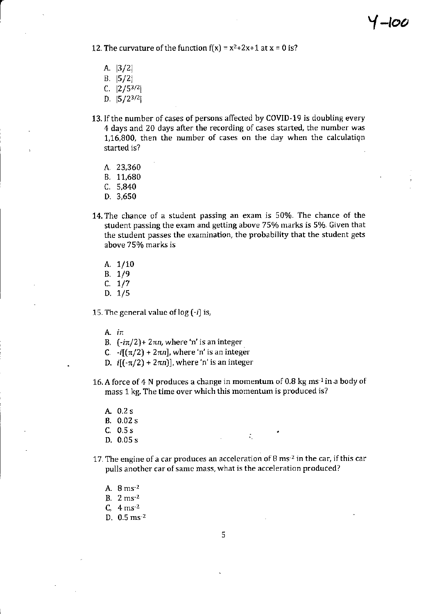12. The curvature of the function  $f(x) = x^2 + 2x + 1$  at  $x = 0$  is?

- A. | 3/2|  $B. |5/2|$
- C.  $|2/5^{3/2}|$
- D.  $|5/2^{3/2}|$
- 13. If the number of cases of persons affected by COVID-19 is doubling every 4 days and 20 days after the recording of cases started, the number was 1,16,800, then the number of cases on the day when the calculatign started is?
	- A.23,360
	- B. 11.680
	- c.5.840
	- D.3,650
- 14. The chance of a student passing an exam is 50%. The chance of the student passing the exam and getting above 75% marks is 5%. Given that the student passes the examination, the probability that the student gets above 75% marks is
	- A.  $1/10$ B. 1/9  $C. 1/7$ D. 1/5

15. The general value of  $log(-i)$  is,

A.  $i\pi$ 

- B.  $(-i\pi/2)$ + 2 $\pi n$ , where 'n' is an integer
- C.  $-i[(\pi/2) + 2\pi n]$ , where 'n' is an integer
- D.  $i[(-\pi/2) + 2\pi n]$ , where 'n' is an integer
- 16. A force of 4 N produces a change in momentum of 0.8 kg ms<sup>-1</sup> in a body of mass 1 kg. The time over which this momentum is produced is?
	- A. 0.2 <sup>s</sup>
	- B. 0.02 s
	- C. 0.5 s
	- D. 0.05 s
- 17. The engine of a car produces an acceleration of  $8 \text{ ms}^{-2}$  in the car, if this car pulls another car of same mass, what is the acceleration produced?

- A.  $8 \text{ ms}^{-2}$
- B.  $2 \text{ ms}^{-2}$
- $c, 4 \text{ ms}^{-2}$
- D.  $0.5 \,\mathrm{ms^2}$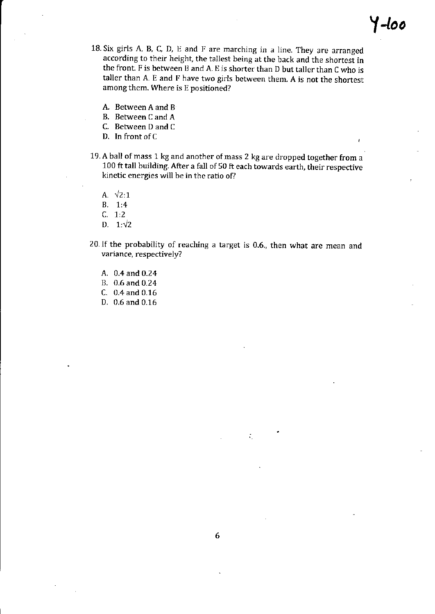- 18. Six girls A, B, C, D, E and F are marching in a line. They are arranged according to their height, the tallest being at the back and the shortest in the front. F is between B and A. E is shorter than D but taller than C who is taller than A. E and F have two girls between them. A is not the shortest among them. Where is E positioned?
	- A. BetweenA and <sup>B</sup>
	- B. Between C and <sup>A</sup>
	- C. Between D and <sup>C</sup>
	- D. In front of C
- 19. A ball of mass 1 kg and another of mass 2 kg are dropped together from a 100 ft tall building. After a fall of 50 ft each towards earth, their respective kinetic energies will be in the ratio of?
	- A.  $\sqrt{2:1}$
	- B. 1:4
	- $C. 1:2$
	- D.  $1:\sqrt{2}$
- 20.If the probability of reaching a target is 0.6., then what are mean and variance, respectively?
	- A. 0.4 and 0.24
	- B.0.6and0.24
	- C. 0.4 and 0.16
	- D. 0.6 and 0.15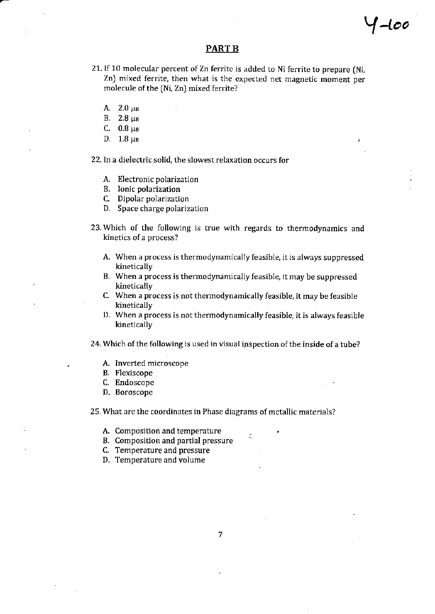#### PART B

Y-too

- 21. If 10 molecular percent of Zn ferrite is added to Ni ferrite to prepare (Ni, Zn) mixed ferrite, then what is the cxpected net magnetic moment per molecule of the (Ni, Zn) mixed ferrite?
	- A.  $2.0 \mu B$
	- $B. 2.8 \mu B$
	- C.  $0.8 \mu B$
	- D.  $1.8 \mu B$

22. In a dielectric solid, the slowest relaxation occurs for

- A. Electronic polarization
- B. Ionic polarization
- C. Dipolar polarization
- D. Space charge polarization
- 23.Which of the following is true with regards to thermodynamics and kinetics of a process?
	- A. When a process is thermodynamically feasible, it is always suppressed kinetically
	- B. When a process is thermodynamically feasible, it may be suppressed kinetically
	- C. When a process is not thermodynamically feasible, it may be feasible kinetically
	- D. When a process is not thermodynamically feasible, it is always feasible kinetically

24. Which of the following is used in visual inspection of the inside of a tube?

- A. Inverted microscope
- B. Flexiscope
- C. Endoscope
- D. Boroscope

25. What are the coordinates in Phase diagrams of metallic materials?

- A. Composition and temperature
- B. Composition and partial pressure
- C. Temperature and pressure
- D, Temperature and volume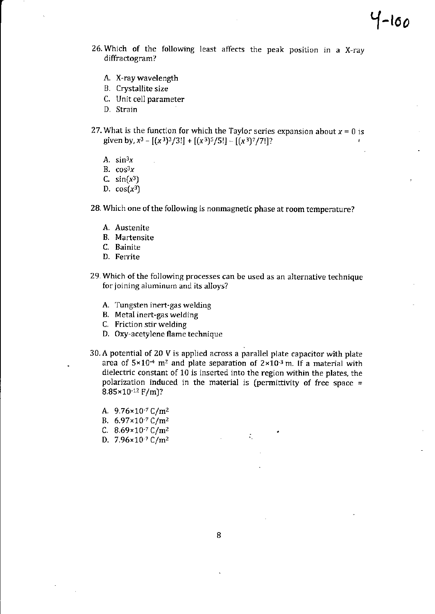- 26.Which of the following least affects the peak position in a X-ray diffractogram?
	- A. X-ray wavelength
	- B. Crystallite size
	- C. Unit cell parameter
	- D. Strain
- 27. What is the function for which the Taylor series expansion about  $x = 0$  is given by,  $x^3 - [(x^3)^3/3!] + [(x^3)^5/5!] - [(x^3)^7/7!]$ ?
	- A.  $sin<sup>3</sup>x$
	- B.  $cos<sup>3</sup>x$
	- C.  $sin(x^3)$
	- D.  $cos(x^3)$
- 28. Which one of the following is nonmagnetic phase at room temperature?
	- A. Austenite
	- B. Martensite
	- C. Bainite
	- D. Ferrite
- 29. Which of the following processes can be used as an alternative technique for joining aluminum and its alloys?
	- A. Tungsten incrt-gas welding
	- B. Metal inert-gas welding
	- C. Friction stirweldjng
	- D. 0xy-acetylene flame technique
- $30.$  A potential of 20 V is applied across a parallel plate capacitor with plate area of  $5\times10^{-4}$  m<sup>2</sup> and plate separation of  $2\times10^{-3}$  m. If a material with dielectric constant of 10 is inserted into the region within the plates, the polarization induced in the material is (permittivity of free space  $=$  $8.85 \times 10^{-12}$  F/m)?

 $\mathcal{L}_{\mathcal{L}}$ 

- A.  $9.76 \times 10^{-7}$  C/m<sup>2</sup>
- B.  $6.97 \times 10^{-7}$  C/m<sup>2</sup>
- C.  $8.69 \times 10^{-7}$  C/m<sup>2</sup>
- D.  $7.96 \times 10^{-7}$  C/m<sup>2</sup>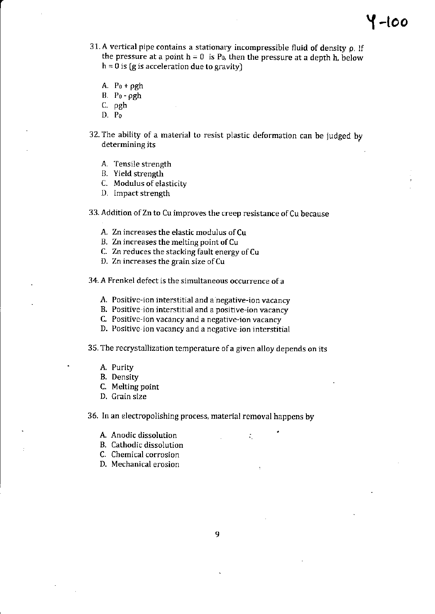- 31. A vertical pipe contains a stationary incompressible fluid of density  $\rho$ . If the pressure at a point  $h = 0$  is  $P_0$ , then the pressure at a depth h, below  $h = 0$  is (g is acceleration due to gravity)
	- A.  $P_0 + \rho gh$
	- B.  $P_0 \rho gh$
	- C. pgh
	- D.  $P_0$
- 32. The ability of a material to resist plastic deformation can be judged by determining its
	- A. Tensile strength
	- B. Yield strength
	- C. Modulus of elasticity
	- D. lmpact strength

33. Addition of Zn to Cu improves the creep resistance of Cu because

- A. Zn increases the elastic modulus of Cu
- B. Zn increases the melting point of Cu
- C. Zn reduces the stacking fault energy of Cu
- D. Zn increases the grain size of Cu

34.A Frenkel defect is the simultaneous occurrence ofa

- A. Positive-ion interstitial and a negative-ion vacancy
- B. Positive ion interstitial and a positive-ion vacancy
- C. Positive-ion vacancy and a negative-ion vacancy
- D. Positive-ion vacancy and a negative-ion interstitial

35. The recrystallization temperature of a given alloy depends on its

- A. Purity
- B. Density
- C. Melting point
- D. Grain size

36. In an electropolishing process, material removal happens by

- A. Anodic dissolution  $\mathbf{r}$  is a set of  $\mathbf{r}$  is a set of  $\mathbf{r}$
- B. Cathodic dissolution
- C. Chemical corrosion
- D. Mechanical erosion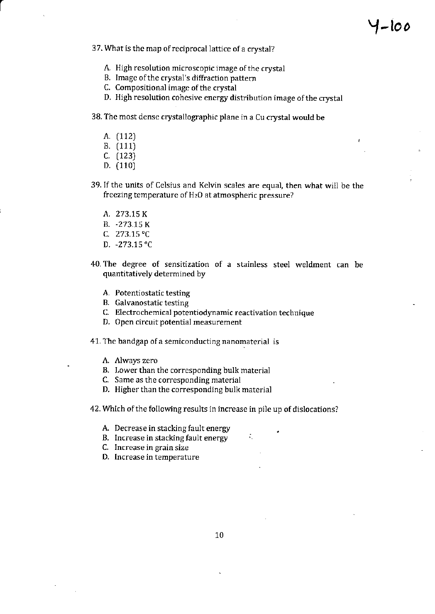J

- 37. What is the map of reciprocal lattice of a crystal?
	- A. High resolution microscopic image of the crystal
	- B. Image of the crystal's diffraction pattern
	- C. Compositional image of the crystal
	- D. High resolution cohesive energy distribution image of the crystal

### 38. The most dense crystallographic plane in a Cu crystal would be

- A. (112)
- B. (111)
- C. (123)
- D. (110)
- 39. If the units of Celsius and Kelvin scales are equal, then what will be the freezing temperature of  $H<sub>2</sub>O$  at atmospheric pressure?
	- A. 273.75 K
	- B. -273.15 K
	- c. 273.75.C.
	- D. -273.15"C
- 40. The degree of sensitization of a stainless steel weldment can be quantitatively determined by
	- A. Potentiostatic testing
	- B. Galvanostatic testing
	- C. Electrochemical potentiodynamic reactivation technique
	- D. 0pen circuit potential measurement
- 41. The bandgap of a semiconducting nanomaterial is
	- A. Always zero
	- B. Lower than the corresponding bulk material
	- C. Same as the corresponding material
	- D. Higher than the corresponding bulk material

42. Which of the following results in increase in pile up of dislocations?

- A. Decrease in stacking fault energy
- B. Increase in stacking fault energy
- C. Increase in grain size
- D. Increase in temperature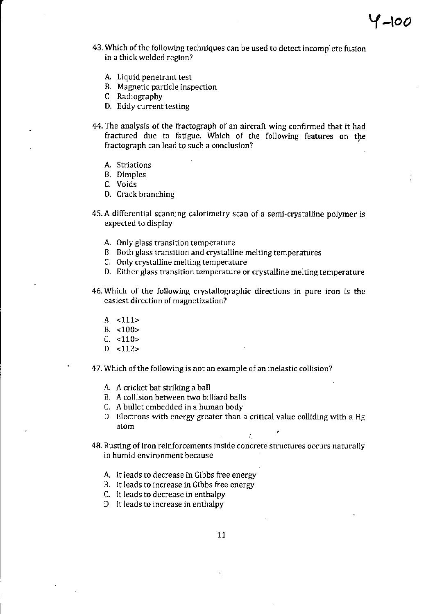- 43. Which of the following techniques can be used to detect incomplete fusion in a thick welded region?
	- A. Liquid penetrant test
	- B. Magnetic particle inspection
	- C. Radiography
	- D. Eddy current testing
- 44. The analysis of the fiactograph of an aircraft wing confirmed that it had fractured due to fatigue. Which of the following features on the fractograph can lead to such a conclusion?
	- A. Striations
	- B. Dimples
	- C. Voids
	- D. Crack branching
- 45. A differential scanning calorimetry scan of a semi-crystalline polymer is expected to display
	- A. Only glass transition temperature
	- B. Both glass transition and crystalline melting temperatures
	- C. Only crystalline melting temperature
	- D. Either glass transition temperature or crystalline melting temperature
- 46.Which of the following crystallographic directions in pure iron is thc easiest direction of magnetization?
	- A. <111>
	- $B. < 100$
	- $C. < 110$
	- D. <112>
- 47. Which of the following is not an example of an inelastic collision?
	- A. A cricket bat striking a ball
	- B. A collision between two billiard balls
	- C. A bullet embedded in a human body
	- D. Electrons with energy greater than a critical value colliding with a Hg atom

- 48. Rusting of iron reinforcements inside concrete structures occurs naturally in humid environment because
	- A. It leads to decrease in Cibbs free energy
	- B. It leads to increase in Gibbs free energy
	- C. It leads to decrease in enthalpy
	- D. It leads to increase in enthalpy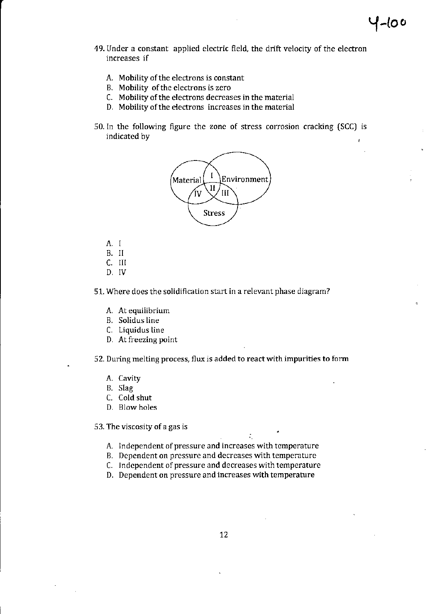- 49. Under a constant applied electric field, the drift velocity of the electron increases if
	- A. Mobility of the electrons is constant
	- B. Mobility of the electrons is zero
	- C. Mobility of the electrons decreases in the material
	- D. Mobility of the electrons increases in the material
- 50.In the following figure the zonc of stress corrcsion cracking {SCC) is indicated by



- A. l
- B. II
- C. III
- D, IV

51. Where does the solidification start in a relevant phase diagram?

- A. At equiiibrium
- B. Solidus line
- C. Liquidus line
- D. At fieezing point

52. During melting process, flux is added to react with impurities to form

- A. Cavity
- B. Slag
- c. Cold shut
- D. Blow holes

53. The viscosity of a gas is

A. Independent of pressure and increases with temperature

÷,

- B. Dependent on pressure and decreases with temperature
- C. Independent of pressure and decreases with temperature
- D. Dependent on pressure and increases with temperature